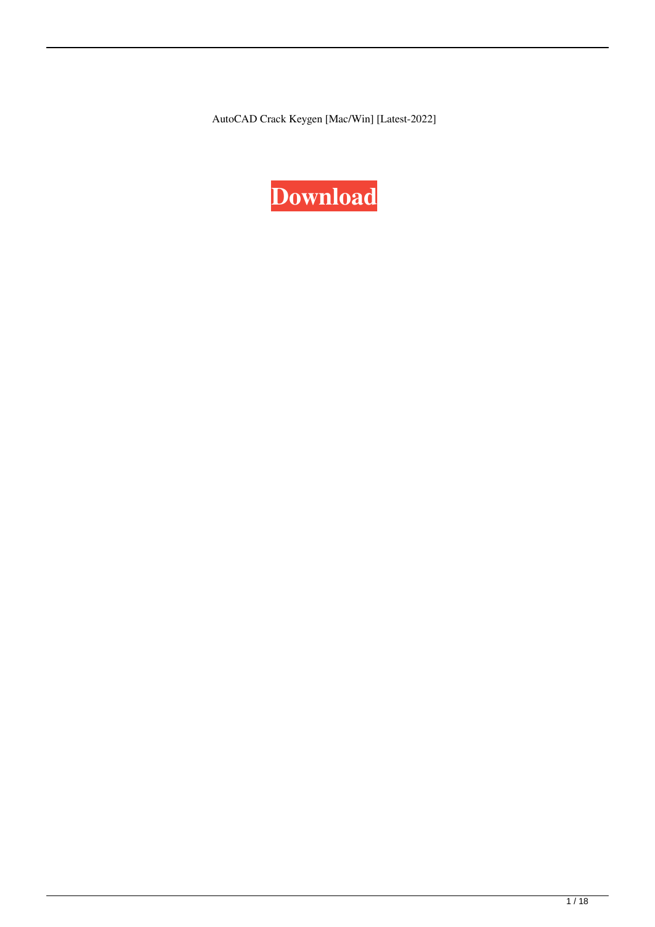AutoCAD Crack Keygen [Mac/Win] [Latest-2022]

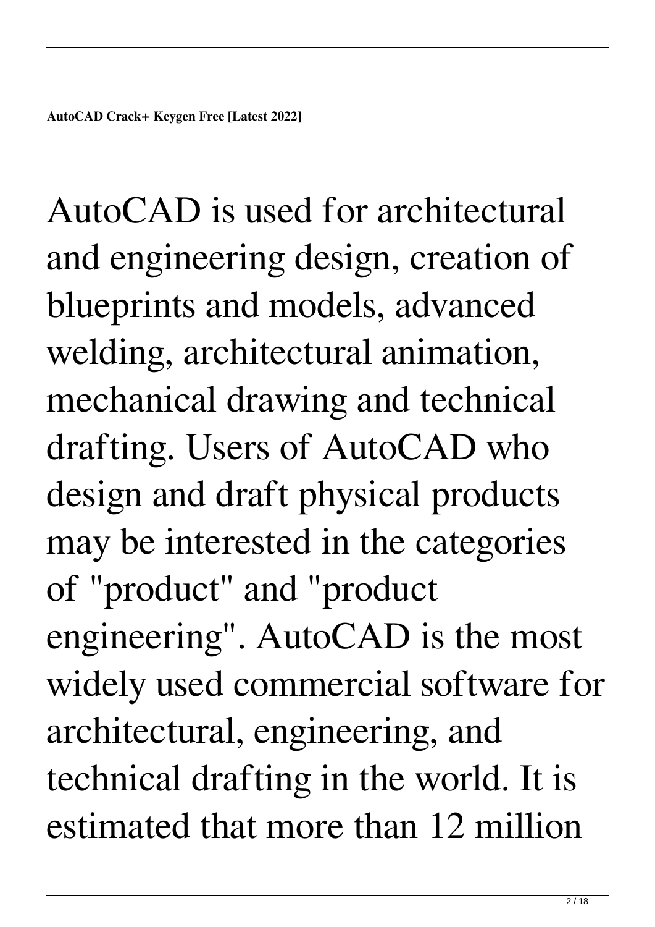AutoCAD is used for architectural and engineering design, creation of blueprints and models, advanced welding, architectural animation, mechanical drawing and technical drafting. Users of AutoCAD who design and draft physical products may be interested in the categories of "product" and "product engineering". AutoCAD is the most widely used commercial software for architectural, engineering, and technical drafting in the world. It is estimated that more than 12 million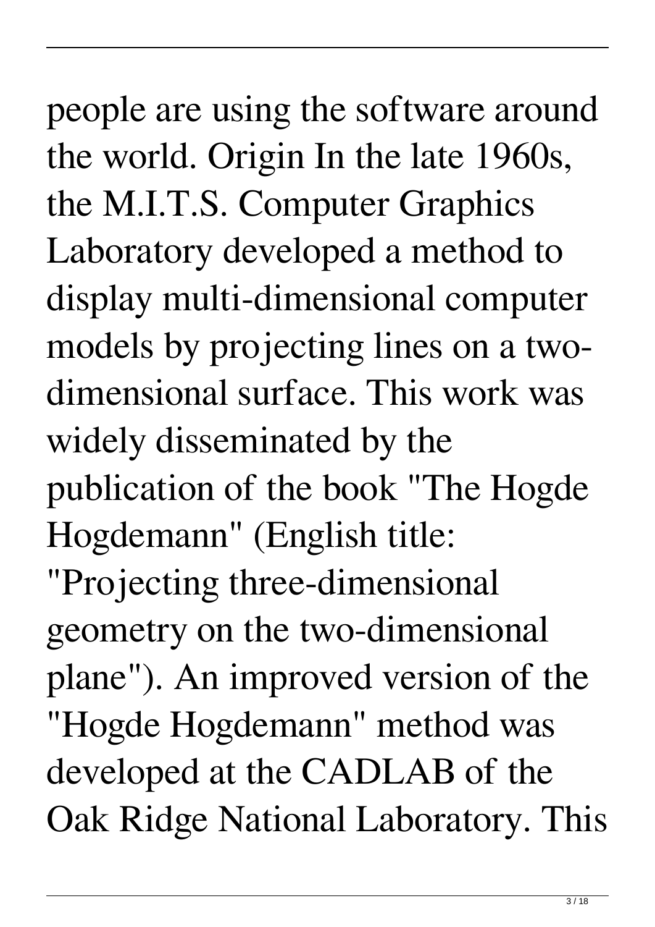people are using the software around the world. Origin In the late 1960s, the M.I.T.S. Computer Graphics Laboratory developed a method to display multi-dimensional computer models by projecting lines on a twodimensional surface. This work was widely disseminated by the publication of the book "The Hogde Hogdemann" (English title: "Projecting three-dimensional geometry on the two-dimensional plane"). An improved version of the "Hogde Hogdemann" method was developed at the CADLAB of the

Oak Ridge National Laboratory. This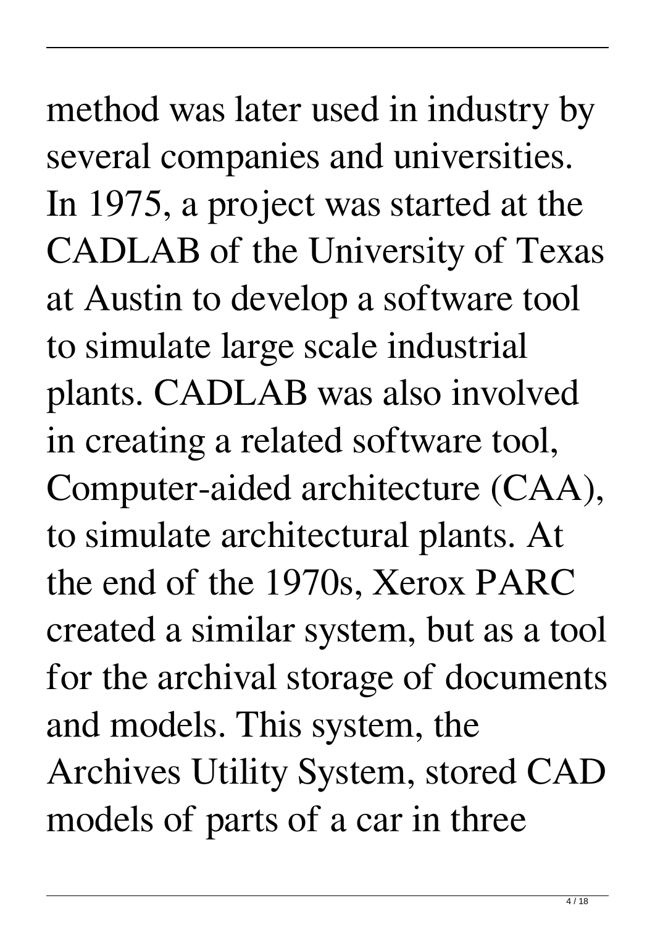method was later used in industry by several companies and universities. In 1975, a project was started at the CADLAB of the University of Texas at Austin to develop a software tool to simulate large scale industrial plants. CADLAB was also involved in creating a related software tool, Computer-aided architecture (CAA), to simulate architectural plants. At the end of the 1970s, Xerox PARC created a similar system, but as a tool for the archival storage of documents and models. This system, the Archives Utility System, stored CAD models of parts of a car in three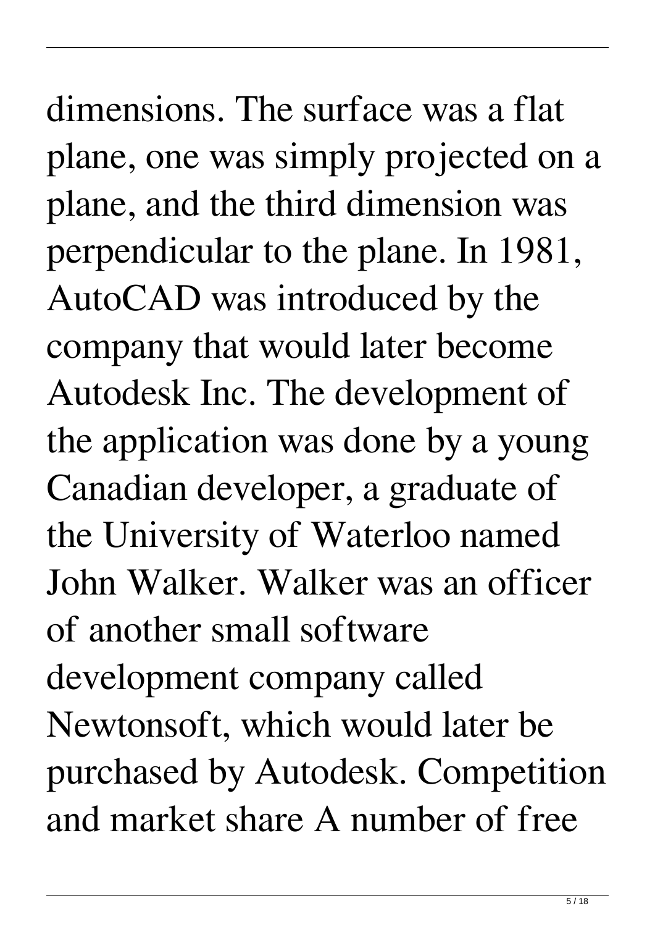dimensions. The surface was a flat plane, one was simply projected on a plane, and the third dimension was perpendicular to the plane. In 1981, AutoCAD was introduced by the company that would later become Autodesk Inc. The development of the application was done by a young Canadian developer, a graduate of the University of Waterloo named John Walker. Walker was an officer of another small software development company called Newtonsoft, which would later be purchased by Autodesk. Competition and market share A number of free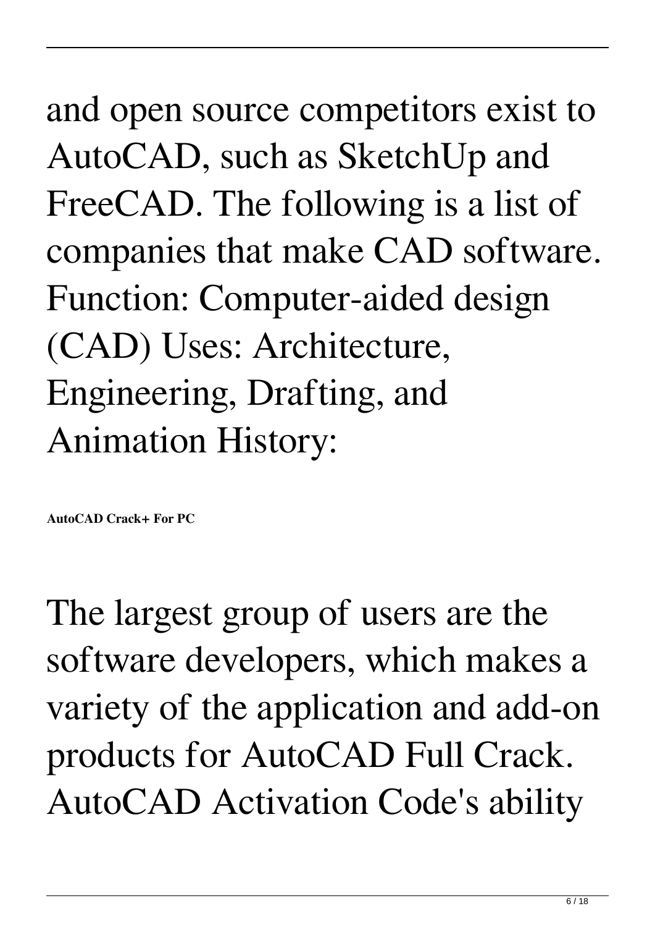and open source competitors exist to AutoCAD, such as SketchUp and FreeCAD. The following is a list of companies that make CAD software. Function: Computer-aided design (CAD) Uses: Architecture, Engineering, Drafting, and Animation History:

**AutoCAD Crack+ For PC**

The largest group of users are the software developers, which makes a variety of the application and add-on products for AutoCAD Full Crack. AutoCAD Activation Code's ability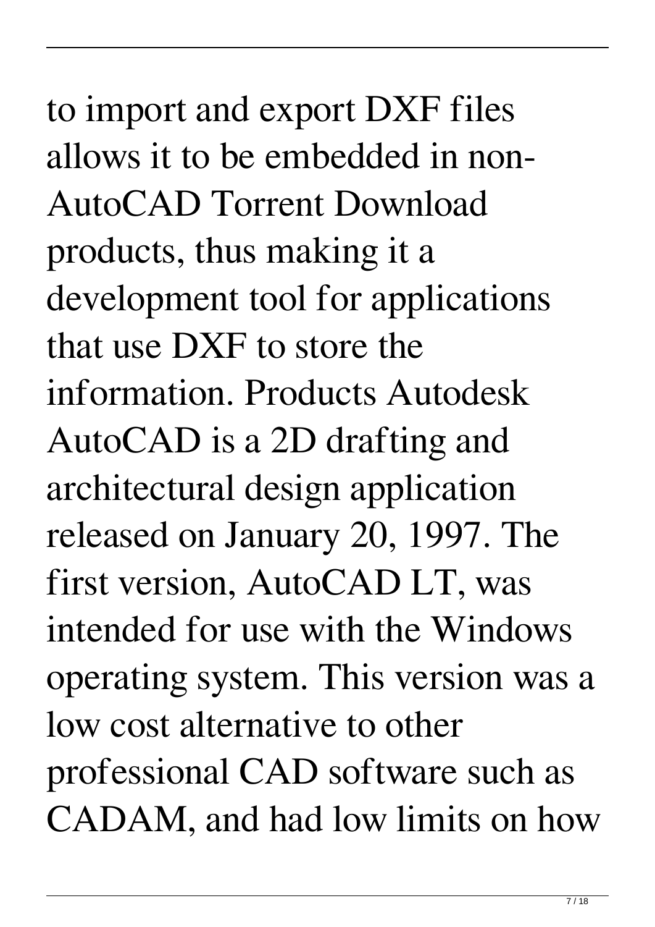to import and export DXF files allows it to be embedded in non-AutoCAD Torrent Download products, thus making it a development tool for applications that use DXF to store the information. Products Autodesk AutoCAD is a 2D drafting and architectural design application released on January 20, 1997. The first version, AutoCAD LT, was intended for use with the Windows operating system. This version was a low cost alternative to other professional CAD software such as CADAM, and had low limits on how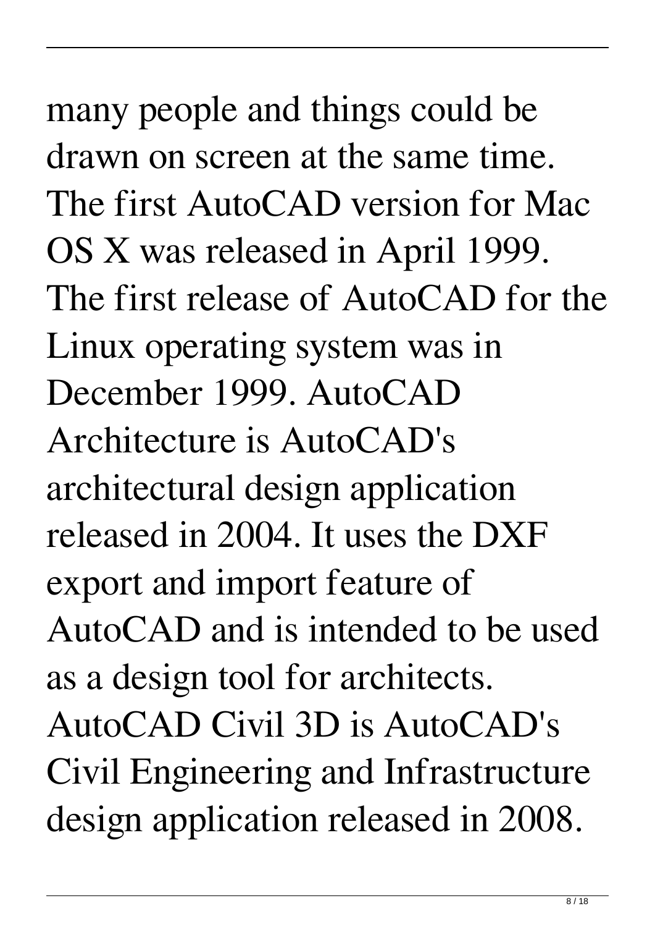many people and things could be drawn on screen at the same time. The first AutoCAD version for Mac OS X was released in April 1999. The first release of AutoCAD for the Linux operating system was in December 1999. AutoCAD Architecture is AutoCAD's architectural design application released in 2004. It uses the DXF export and import feature of AutoCAD and is intended to be used as a design tool for architects. AutoCAD Civil 3D is AutoCAD's Civil Engineering and Infrastructure design application released in 2008.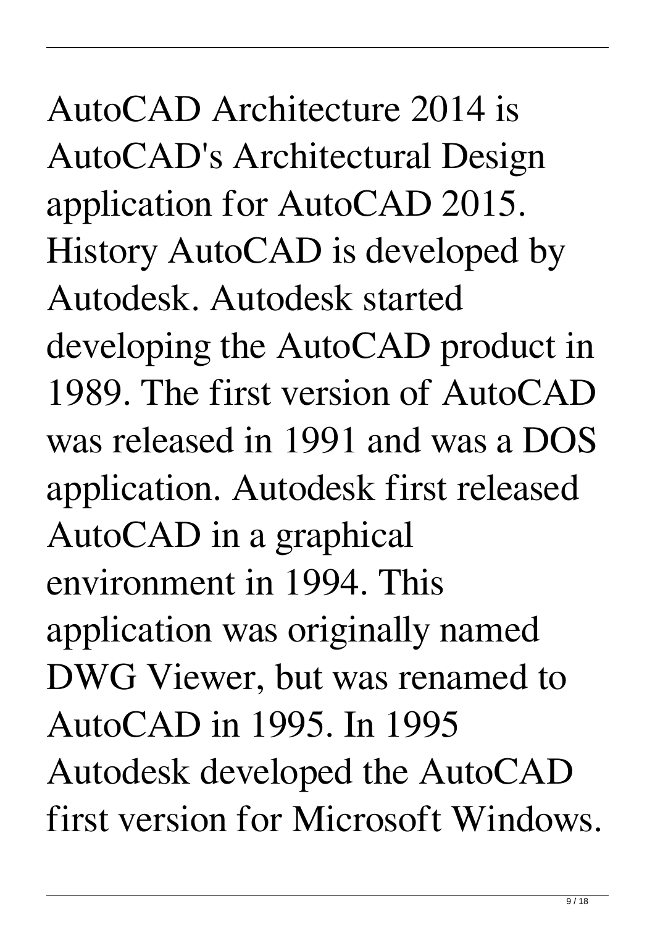AutoCAD Architecture 2014 is AutoCAD's Architectural Design application for AutoCAD 2015. History AutoCAD is developed by Autodesk. Autodesk started developing the AutoCAD product in 1989. The first version of AutoCAD was released in 1991 and was a DOS application. Autodesk first released AutoCAD in a graphical environment in 1994. This application was originally named DWG Viewer, but was renamed to AutoCAD in 1995. In 1995 Autodesk developed the AutoCAD first version for Microsoft Windows.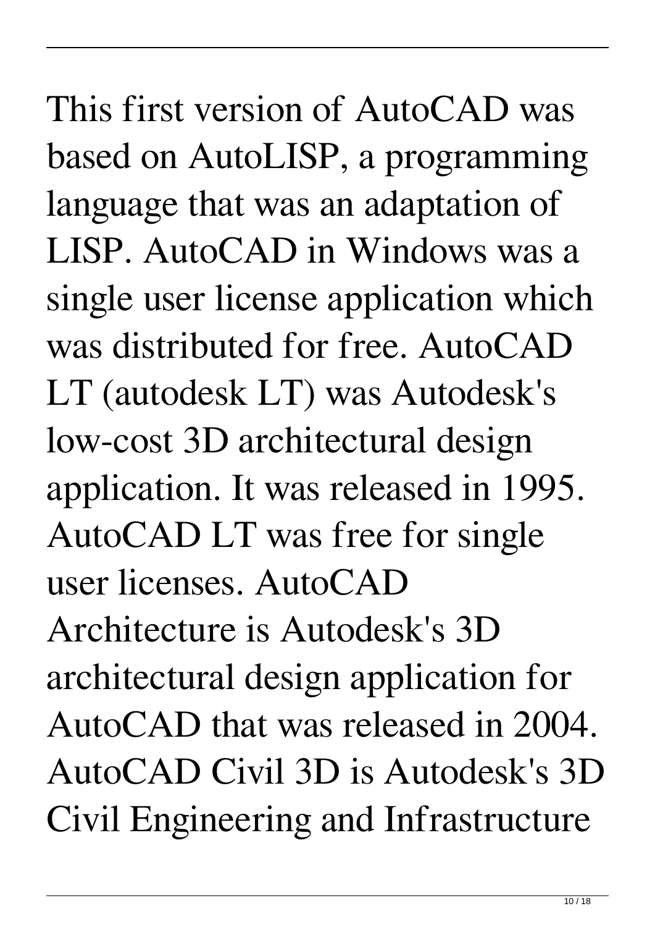This first version of AutoCAD was based on AutoLISP, a programming language that was an adaptation of LISP. AutoCAD in Windows was a single user license application which was distributed for free. AutoCAD LT (autodesk LT) was Autodesk's low-cost 3D architectural design application. It was released in 1995. AutoCAD LT was free for single user licenses. AutoCAD Architecture is Autodesk's 3D architectural design application for AutoCAD that was released in 2004. AutoCAD Civil 3D is Autodesk's 3D Civil Engineering and Infrastructure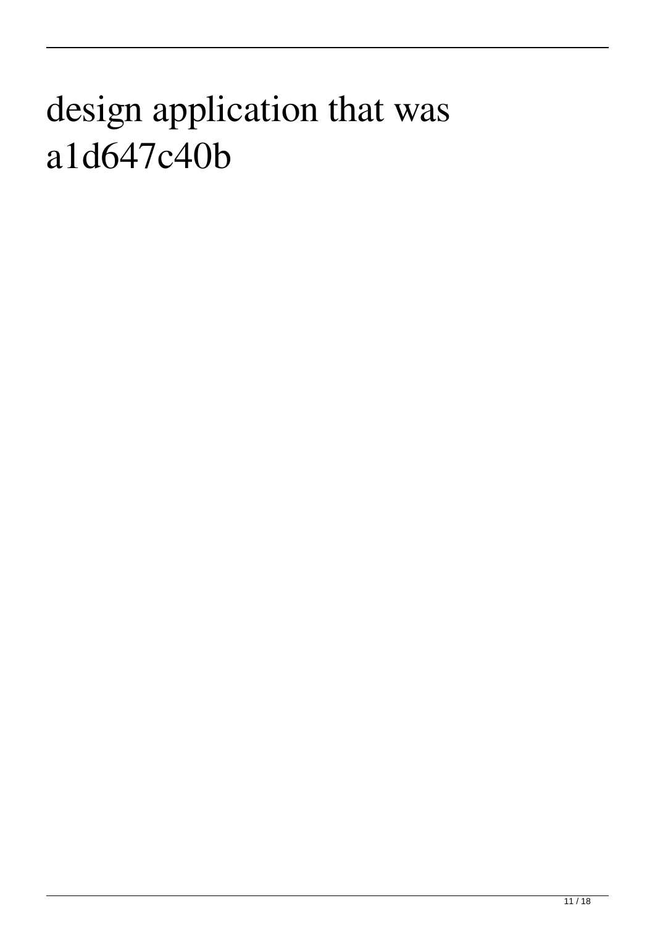## design application that was a1d647c40b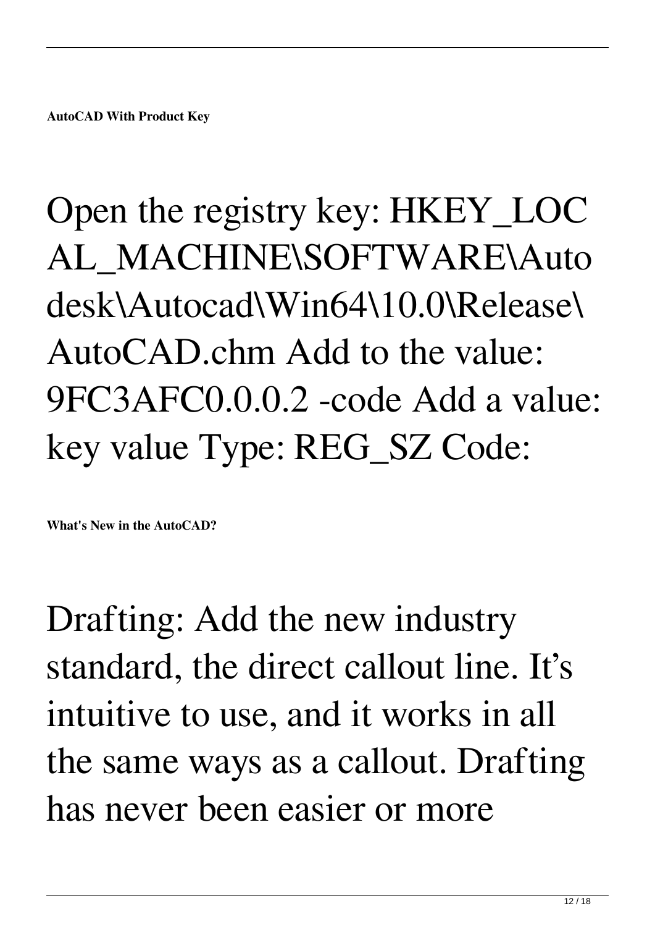## Open the registry key: HKEY\_LOC AL\_MACHINE\SOFTWARE\Auto desk\Autocad\Win64\10.0\Release\ AutoCAD.chm Add to the value: 9FC3AFC0.0.0.2 -code Add a value: key value Type: REG\_SZ Code:

**What's New in the AutoCAD?**

Drafting: Add the new industry standard, the direct callout line. It's intuitive to use, and it works in all the same ways as a callout. Drafting has never been easier or more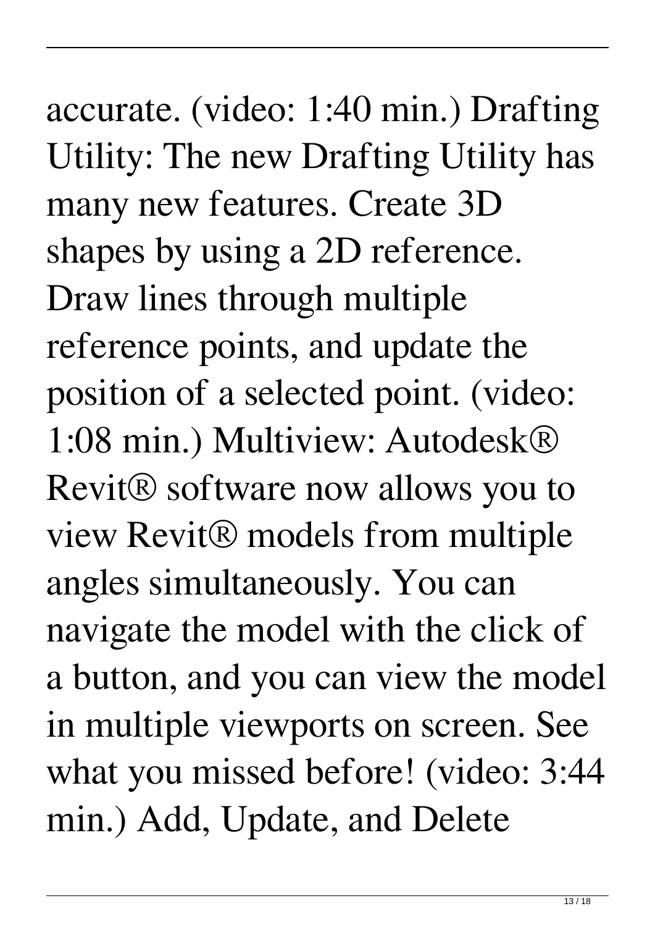## accurate. (video: 1:40 min.) Drafting Utility: The new Drafting Utility has many new features. Create 3D shapes by using a 2D reference. Draw lines through multiple reference points, and update the position of a selected point. (video: 1:08 min.) Multiview: Autodesk® Revit® software now allows you to view Revit® models from multiple angles simultaneously. You can navigate the model with the click of a button, and you can view the model in multiple viewports on screen. See what you missed before! (video: 3:44 min.) Add, Update, and Delete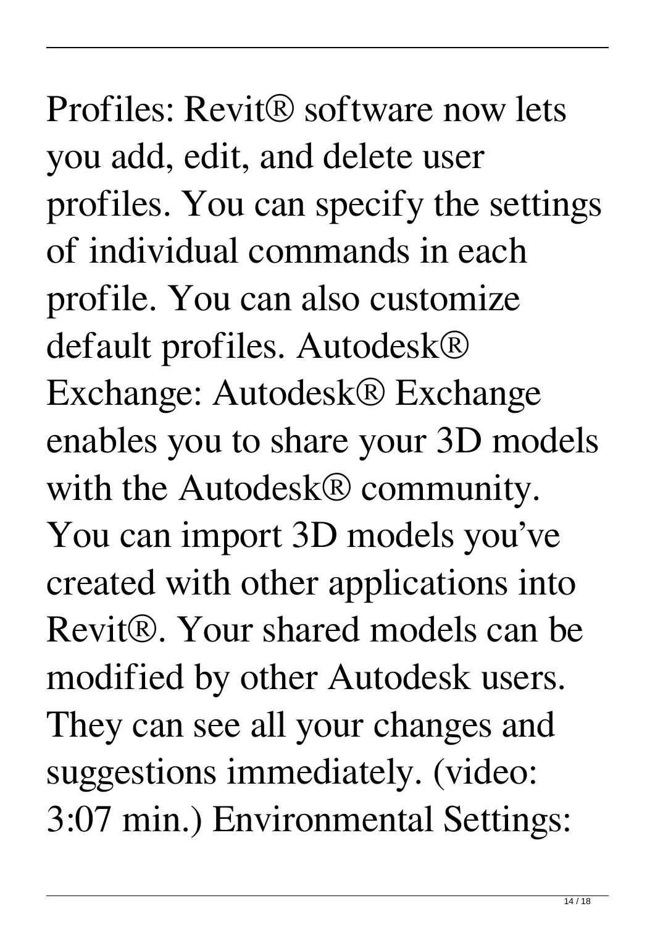## Profiles: Revit® software now lets you add, edit, and delete user profiles. You can specify the settings of individual commands in each profile. You can also customize default profiles. Autodesk® Exchange: Autodesk® Exchange enables you to share your 3D models with the Autodesk® community. You can import 3D models you've created with other applications into Revit®. Your shared models can be modified by other Autodesk users. They can see all your changes and suggestions immediately. (video: 3:07 min.) Environmental Settings: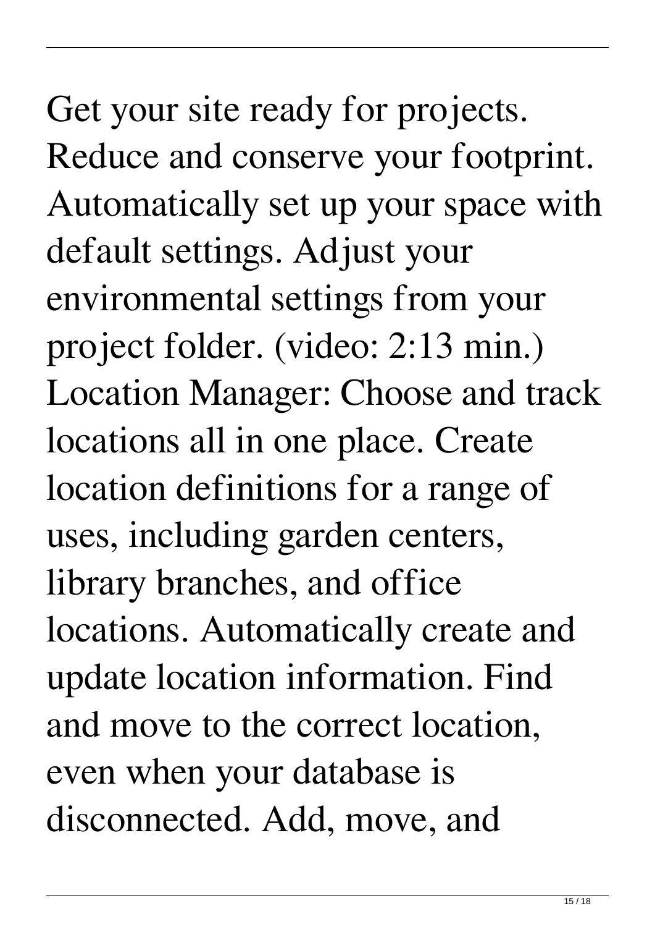Get your site ready for projects. Reduce and conserve your footprint. Automatically set up your space with default settings. Adjust your environmental settings from your project folder. (video: 2:13 min.) Location Manager: Choose and track locations all in one place. Create location definitions for a range of uses, including garden centers, library branches, and office locations. Automatically create and update location information. Find and move to the correct location, even when your database is disconnected. Add, move, and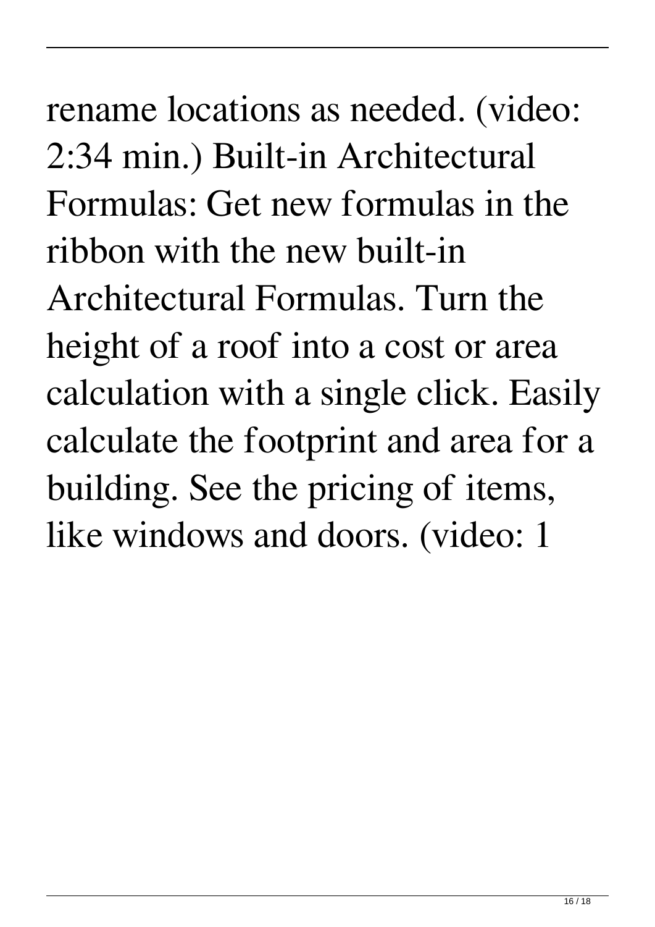rename locations as needed. (video: 2:34 min.) Built-in Architectural Formulas: Get new formulas in the ribbon with the new built-in Architectural Formulas. Turn the height of a roof into a cost or area calculation with a single click. Easily calculate the footprint and area for a building. See the pricing of items, like windows and doors. (video: 1